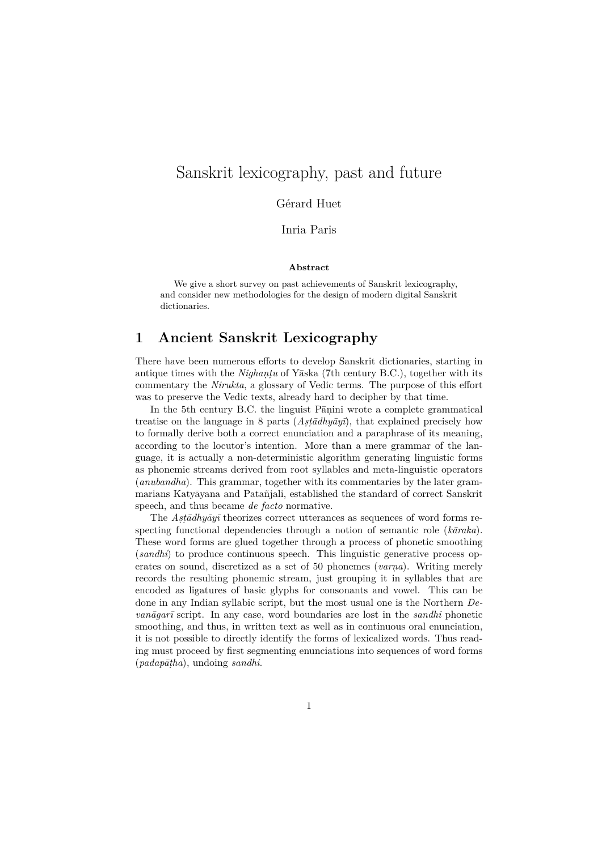# Sanskrit lexicography, past and future

#### Gérard Huet

Inria Paris

#### **Abstract**

We give a short survey on past achievements of Sanskrit lexicography, and consider new methodologies for the design of modern digital Sanskrit dictionaries.

## **1 Ancient Sanskrit Lexicography**

There have been numerous efforts to develop Sanskrit dictionaries, starting in antique times with the *Nighaṇṭu* of Yāska (7th century B.C.), together with its commentary the *Nirukta*, a glossary of Vedic terms. The purpose of this effort was to preserve the Vedic texts, already hard to decipher by that time.

In the 5th century B.C. the linguist Pāṇini wrote a complete grammatical treatise on the language in 8 parts (*Aṣṭādhyāyī*), that explained precisely how to formally derive both a correct enunciation and a paraphrase of its meaning, according to the locutor's intention. More than a mere grammar of the language, it is actually a non-deterministic algorithm generating linguistic forms as phonemic streams derived from root syllables and meta-linguistic operators (*anubandha*). This grammar, together with its commentaries by the later grammarians Katyāyana and Patañjali, established the standard of correct Sanskrit speech, and thus became *de facto* normative.

The  $\text{A}st\bar{\text{a}}d\text{h}y\bar{\text{a}}y\bar{\text{a}}$  theorizes correct utterances as sequences of word forms respecting functional dependencies through a notion of semantic role (*kāraka*). These word forms are glued together through a process of phonetic smoothing (*sandhi*) to produce continuous speech. This linguistic generative process operates on sound, discretized as a set of 50 phonemes (*varṇa*). Writing merely records the resulting phonemic stream, just grouping it in syllables that are encoded as ligatures of basic glyphs for consonants and vowel. This can be done in any Indian syllabic script, but the most usual one is the Northern *Devanāgarī* script. In any case, word boundaries are lost in the *sandhi* phonetic smoothing, and thus, in written text as well as in continuous oral enunciation, it is not possible to directly identify the forms of lexicalized words. Thus reading must proceed by first segmenting enunciations into sequences of word forms (*padapāṭha*), undoing *sandhi*.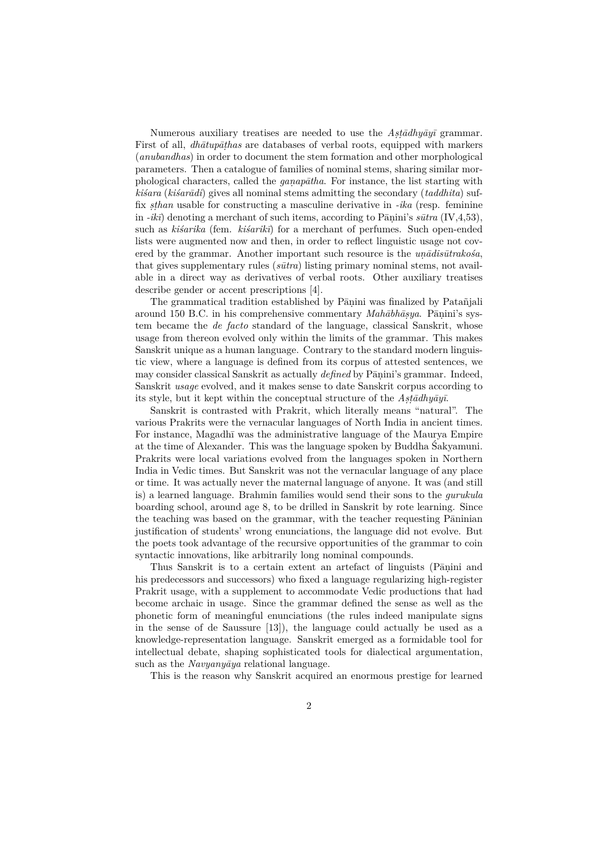Numerous auxiliary treatises are needed to use the *Aṣṭādhyāyī* grammar. First of all, *dhātupāṭhas* are databases of verbal roots, equipped with markers (*anubandhas*) in order to document the stem formation and other morphological parameters. Then a catalogue of families of nominal stems, sharing similar morphological characters, called the *gaṇapātha*. For instance, the list starting with *kiśara* (*kiśarādi*) gives all nominal stems admitting the secondary (*taddhita*) suffix *ṣṭhan* usable for constructing a masculine derivative in *-ika* (resp. feminine in  $-i\kappa \vec{v}$  denoting a merchant of such items, according to Panini's  $s\bar{u}tr\tilde{u}$  (IV, 4, 53), such as *kiśarika* (fem. *kiśarikī*) for a merchant of perfumes. Such open-ended lists were augmented now and then, in order to reflect linguistic usage not covered by the grammar. Another important such resource is the *uṇādisūtrakośa*, that gives supplementary rules (*sūtra*) listing primary nominal stems, not available in a direct way as derivatives of verbal roots. Other auxiliary treatises describe gender or accent prescriptions [4].

The grammatical tradition established by Pāṇini was finalized by Patañjali around 150 B.C. in his comprehensive commentary *Mahābhāṣya*. Pāṇini's system became the *de facto* standard of the language, classical Sanskrit, whose usage from thereon evolved only within the limits of the grammar. This makes Sanskrit unique as a human language. Contrary to the standard modern linguistic view, where a language is defined from its corpus of attested sentences, we may consider classical Sanskrit as actually *defined* by Pāṇini's grammar. Indeed, Sanskrit *usage* evolved, and it makes sense to date Sanskrit corpus according to its style, but it kept within the conceptual structure of the *Aṣṭādhyāyī*.

Sanskrit is contrasted with Prakrit, which literally means "natural". The various Prakrits were the vernacular languages of North India in ancient times. For instance, Magadhī was the administrative language of the Maurya Empire at the time of Alexander. This was the language spoken by Buddha Śakyamuni. Prakrits were local variations evolved from the languages spoken in Northern India in Vedic times. But Sanskrit was not the vernacular language of any place or time. It was actually never the maternal language of anyone. It was (and still is) a learned language. Brahmin families would send their sons to the *gurukula* boarding school, around age 8, to be drilled in Sanskrit by rote learning. Since the teaching was based on the grammar, with the teacher requesting Pāninian justification of students' wrong enunciations, the language did not evolve. But the poets took advantage of the recursive opportunities of the grammar to coin syntactic innovations, like arbitrarily long nominal compounds.

Thus Sanskrit is to a certain extent an artefact of linguists (Pāṇini and his predecessors and successors) who fixed a language regularizing high-register Prakrit usage, with a supplement to accommodate Vedic productions that had become archaic in usage. Since the grammar defined the sense as well as the phonetic form of meaningful enunciations (the rules indeed manipulate signs in the sense of de Saussure [13]), the language could actually be used as a knowledge-representation language. Sanskrit emerged as a formidable tool for intellectual debate, shaping sophisticated tools for dialectical argumentation, such as the *Navyanyāya* relational language.

This is the reason why Sanskrit acquired an enormous prestige for learned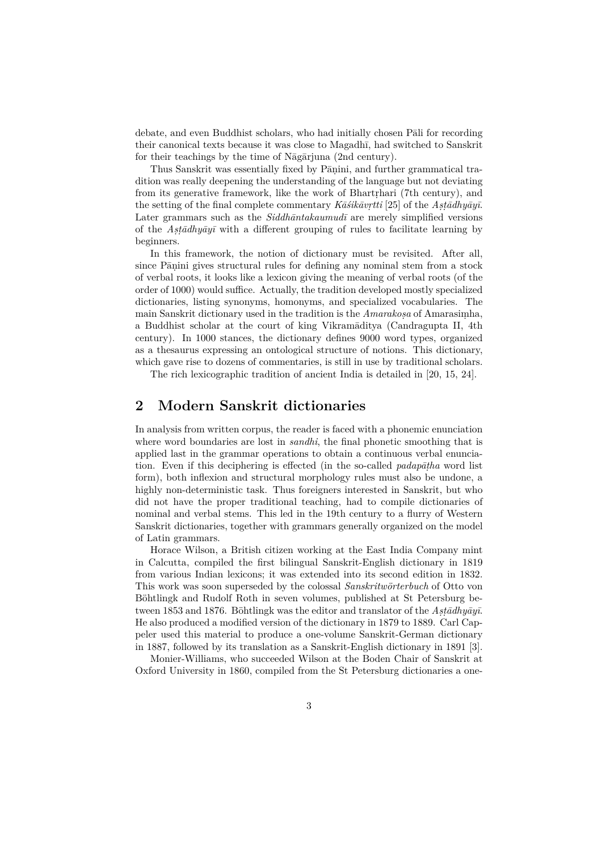debate, and even Buddhist scholars, who had initially chosen Pāli for recording their canonical texts because it was close to Magadhī, had switched to Sanskrit for their teachings by the time of Nāgārjuna (2nd century).

Thus Sanskrit was essentially fixed by Pāṇini, and further grammatical tradition was really deepening the understanding of the language but not deviating from its generative framework, like the work of Bhartṛhari (7th century), and the setting of the final complete commentary *Kāśikāvṛtti* [25] of the *Aṣṭādhyāyī*. Later grammars such as the *Siddhāntakaumudī* are merely simplified versions of the *Aṣṭādhyāyī* with a different grouping of rules to facilitate learning by beginners.

In this framework, the notion of dictionary must be revisited. After all, since Pāṇini gives structural rules for defining any nominal stem from a stock of verbal roots, it looks like a lexicon giving the meaning of verbal roots (of the order of 1000) would suffice. Actually, the tradition developed mostly specialized dictionaries, listing synonyms, homonyms, and specialized vocabularies. The main Sanskrit dictionary used in the tradition is the *Amarakoṣa* of Amarasiṃha, a Buddhist scholar at the court of king Vikramāditya (Candragupta II, 4th century). In 1000 stances, the dictionary defines 9000 word types, organized as a thesaurus expressing an ontological structure of notions. This dictionary, which gave rise to dozens of commentaries, is still in use by traditional scholars.

The rich lexicographic tradition of ancient India is detailed in [20, 15, 24].

## **2 Modern Sanskrit dictionaries**

In analysis from written corpus, the reader is faced with a phonemic enunciation where word boundaries are lost in *sandhi*, the final phonetic smoothing that is applied last in the grammar operations to obtain a continuous verbal enunciation. Even if this deciphering is effected (in the so-called *padapāṭha* word list form), both inflexion and structural morphology rules must also be undone, a highly non-deterministic task. Thus foreigners interested in Sanskrit, but who did not have the proper traditional teaching, had to compile dictionaries of nominal and verbal stems. This led in the 19th century to a flurry of Western Sanskrit dictionaries, together with grammars generally organized on the model of Latin grammars.

Horace Wilson, a British citizen working at the East India Company mint in Calcutta, compiled the first bilingual Sanskrit-English dictionary in 1819 from various Indian lexicons; it was extended into its second edition in 1832. This work was soon superseded by the colossal *Sanskritwörterbuch* of Otto von Böhtlingk and Rudolf Roth in seven volumes, published at St Petersburg between 1853 and 1876. Böhtlingk was the editor and translator of the *Aṣṭādhyāyī*. He also produced a modified version of the dictionary in 1879 to 1889. Carl Cappeler used this material to produce a one-volume Sanskrit-German dictionary in 1887, followed by its translation as a Sanskrit-English dictionary in 1891 [3].

Monier-Williams, who succeeded Wilson at the Boden Chair of Sanskrit at Oxford University in 1860, compiled from the St Petersburg dictionaries a one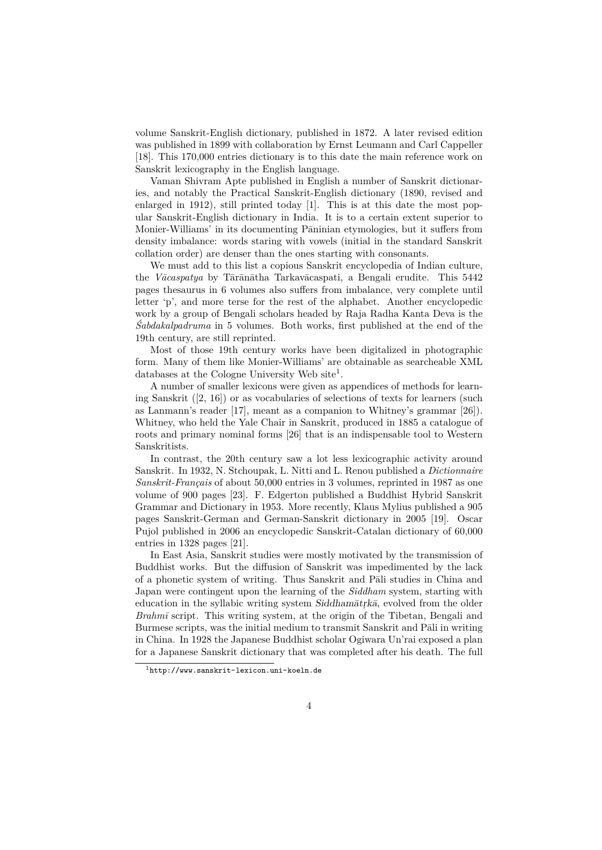volume Sanskrit-English dictionary, published in 1872. A later revised edition was published in 1899 with collaboration by Ernst Leumann and Carl Cappeller [18]. This 170,000 entries dictionary is to this date the main reference work on Sanskrit lexicography in the English language.

Vaman Shivram Apte published in English a number of Sanskrit dictionaries, and notably the Practical Sanskrit-English dictionary (1890, revised and enlarged in 1912), still printed today [1]. This is at this date the most popular Sanskrit-English dictionary in India. It is to a certain extent superior to Monier-Williams' in its documenting Pāninian etymologies, but it suffers from density imbalance: words staring with vowels (initial in the standard Sanskrit collation order) are denser than the ones starting with consonants.

We must add to this list a copious Sanskrit encyclopedia of Indian culture, the *Vācaspatya* by Tārānātha Tarkavācaspati, a Bengali erudite. This 5442 pages thesaurus in 6 volumes also suffers from imbalance, very complete until letter 'p', and more terse for the rest of the alphabet. Another encyclopedic work by a group of Bengali scholars headed by Raja Radha Kanta Deva is the *Śabdakalpadruma* in 5 volumes. Both works, first published at the end of the 19th century, are still reprinted.

Most of those 19th century works have been digitalized in photographic form. Many of them like Monier-Williams' are obtainable as searcheable XML databases at the Cologne University Web site<sup>1</sup>.

A number of smaller lexicons were given as appendices of methods for learning Sanskrit  $([2, 16])$  or as vocabularies of selections of texts for learners (such as Lanmann's reader [17], meant as a companion to Whitney's grammar [26]). Whitney, who held the Yale Chair in Sanskrit, produced in 1885 a catalogue of roots and primary nominal forms [26] that is an indispensable tool to Western Sanskritists.

In contrast, the 20th century saw a lot less lexicographic activity around Sanskrit. In 1932, N. Stchoupak, L. Nitti and L. Renou published a *Dictionnaire Sanskrit-Français* of about 50,000 entries in 3 volumes, reprinted in 1987 as one volume of 900 pages [23]. F. Edgerton published a Buddhist Hybrid Sanskrit Grammar and Dictionary in 1953. More recently, Klaus Mylius published a 905 pages Sanskrit-German and German-Sanskrit dictionary in 2005 [19]. Oscar Pujol published in 2006 an encyclopedic Sanskrit-Catalan dictionary of 60,000 entries in 1328 pages [21].

In East Asia, Sanskrit studies were mostly motivated by the transmission of Buddhist works. But the diffusion of Sanskrit was impedimented by the lack of a phonetic system of writing. Thus Sanskrit and Pāli studies in China and Japan were contingent upon the learning of the *Siddham* system, starting with education in the syllabic writing system *Siddhamātṛkā*, evolved from the older *Brahmī* script. This writing system, at the origin of the Tibetan, Bengali and Burmese scripts, was the initial medium to transmit Sanskrit and Pāli in writing in China. In 1928 the Japanese Buddhist scholar Ogiwara Un'rai exposed a plan for a Japanese Sanskrit dictionary that was completed after his death. The full

<sup>1</sup>http://www.sanskrit-lexicon.uni-koeln.de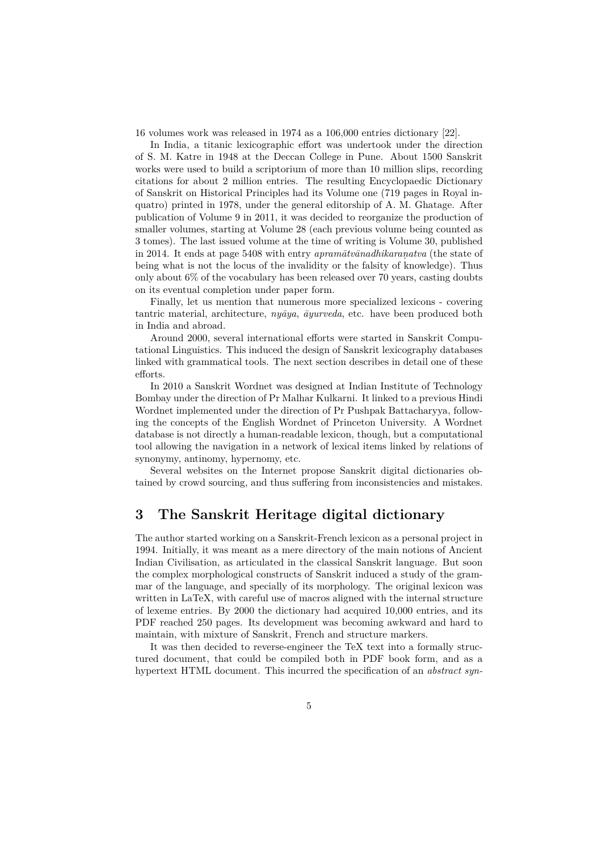16 volumes work was released in 1974 as a 106,000 entries dictionary [22].

In India, a titanic lexicographic effort was undertook under the direction of S. M. Katre in 1948 at the Deccan College in Pune. About 1500 Sanskrit works were used to build a scriptorium of more than 10 million slips, recording citations for about 2 million entries. The resulting Encyclopaedic Dictionary of Sanskrit on Historical Principles had its Volume one (719 pages in Royal inquatro) printed in 1978, under the general editorship of A. M. Ghatage. After publication of Volume 9 in 2011, it was decided to reorganize the production of smaller volumes, starting at Volume 28 (each previous volume being counted as 3 tomes). The last issued volume at the time of writing is Volume 30, published in 2014. It ends at page 5408 with entry *apramātvānadhikaraṇatva* (the state of being what is not the locus of the invalidity or the falsity of knowledge). Thus only about 6% of the vocabulary has been released over 70 years, casting doubts on its eventual completion under paper form.

Finally, let us mention that numerous more specialized lexicons - covering tantric material, architecture, *nyāya*, *āyurveda*, etc. have been produced both in India and abroad.

Around 2000, several international efforts were started in Sanskrit Computational Linguistics. This induced the design of Sanskrit lexicography databases linked with grammatical tools. The next section describes in detail one of these efforts.

In 2010 a Sanskrit Wordnet was designed at Indian Institute of Technology Bombay under the direction of Pr Malhar Kulkarni. It linked to a previous Hindi Wordnet implemented under the direction of Pr Pushpak Battacharyya, following the concepts of the English Wordnet of Princeton University. A Wordnet database is not directly a human-readable lexicon, though, but a computational tool allowing the navigation in a network of lexical items linked by relations of synonymy, antinomy, hypernomy, etc.

Several websites on the Internet propose Sanskrit digital dictionaries obtained by crowd sourcing, and thus suffering from inconsistencies and mistakes.

### **3 The Sanskrit Heritage digital dictionary**

The author started working on a Sanskrit-French lexicon as a personal project in 1994. Initially, it was meant as a mere directory of the main notions of Ancient Indian Civilisation, as articulated in the classical Sanskrit language. But soon the complex morphological constructs of Sanskrit induced a study of the grammar of the language, and specially of its morphology. The original lexicon was written in LaTeX, with careful use of macros aligned with the internal structure of lexeme entries. By 2000 the dictionary had acquired 10,000 entries, and its PDF reached 250 pages. Its development was becoming awkward and hard to maintain, with mixture of Sanskrit, French and structure markers.

It was then decided to reverse-engineer the TeX text into a formally structured document, that could be compiled both in PDF book form, and as a hypertext HTML document. This incurred the specification of an *abstract syn-*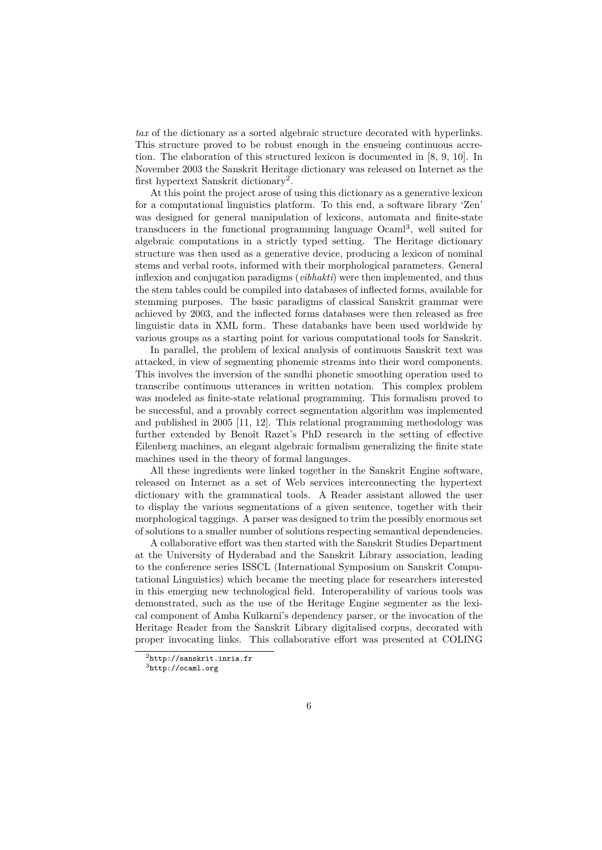*tax* of the dictionary as a sorted algebraic structure decorated with hyperlinks. This structure proved to be robust enough in the ensueing continuous accretion. The elaboration of this structured lexicon is documented in [8, 9, 10]. In November 2003 the Sanskrit Heritage dictionary was released on Internet as the first hypertext Sanskrit dictionary<sup>2</sup>.

At this point the project arose of using this dictionary as a generative lexicon for a computational linguistics platform. To this end, a software library 'Zen' was designed for general manipulation of lexicons, automata and finite-state transducers in the functional programming language Ocam<sup>13</sup>, well suited for algebraic computations in a strictly typed setting. The Heritage dictionary structure was then used as a generative device, producing a lexicon of nominal stems and verbal roots, informed with their morphological parameters. General inflexion and conjugation paradigms (*vibhakti*) were then implemented, and thus the stem tables could be compiled into databases of inflected forms, available for stemming purposes. The basic paradigms of classical Sanskrit grammar were achieved by 2003, and the inflected forms databases were then released as free linguistic data in XML form. These databanks have been used worldwide by various groups as a starting point for various computational tools for Sanskrit.

In parallel, the problem of lexical analysis of continuous Sanskrit text was attacked, in view of segmenting phonemic streams into their word components. This involves the inversion of the sandhi phonetic smoothing operation used to transcribe continuous utterances in written notation. This complex problem was modeled as finite-state relational programming. This formalism proved to be successful, and a provably correct segmentation algorithm was implemented and published in 2005 [11, 12]. This relational programming methodology was further extended by Benoît Razet's PhD research in the setting of effective Eilenberg machines, an elegant algebraic formalism generalizing the finite state machines used in the theory of formal languages.

All these ingredients were linked together in the Sanskrit Engine software, released on Internet as a set of Web services interconnecting the hypertext dictionary with the grammatical tools. A Reader assistant allowed the user to display the various segmentations of a given sentence, together with their morphological taggings. A parser was designed to trim the possibly enormous set of solutions to a smaller number of solutions respecting semantical dependencies.

A collaborative effort was then started with the Sanskrit Studies Department at the University of Hyderabad and the Sanskrit Library association, leading to the conference series ISSCL (International Symposium on Sanskrit Computational Linguistics) which became the meeting place for researchers interested in this emerging new technological field. Interoperability of various tools was demonstrated, such as the use of the Heritage Engine segmenter as the lexical component of Amba Kulkarni's dependency parser, or the invocation of the Heritage Reader from the Sanskrit Library digitalised corpus, decorated with proper invocating links. This collaborative effort was presented at COLING

<sup>2</sup>http://sanskrit.inria.fr

<sup>3</sup>http://ocaml.org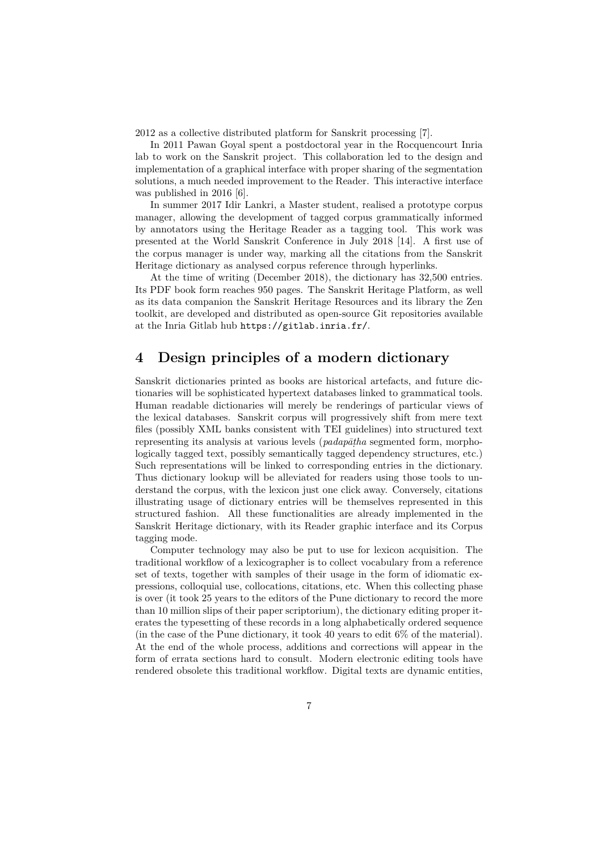2012 as a collective distributed platform for Sanskrit processing [7].

In 2011 Pawan Goyal spent a postdoctoral year in the Rocquencourt Inria lab to work on the Sanskrit project. This collaboration led to the design and implementation of a graphical interface with proper sharing of the segmentation solutions, a much needed improvement to the Reader. This interactive interface was published in 2016 [6].

In summer 2017 Idir Lankri, a Master student, realised a prototype corpus manager, allowing the development of tagged corpus grammatically informed by annotators using the Heritage Reader as a tagging tool. This work was presented at the World Sanskrit Conference in July 2018 [14]. A first use of the corpus manager is under way, marking all the citations from the Sanskrit Heritage dictionary as analysed corpus reference through hyperlinks.

At the time of writing (December 2018), the dictionary has 32,500 entries. Its PDF book form reaches 950 pages. The Sanskrit Heritage Platform, as well as its data companion the Sanskrit Heritage Resources and its library the Zen toolkit, are developed and distributed as open-source Git repositories available at the Inria Gitlab hub https://gitlab.inria.fr/.

## **4 Design principles of a modern dictionary**

Sanskrit dictionaries printed as books are historical artefacts, and future dictionaries will be sophisticated hypertext databases linked to grammatical tools. Human readable dictionaries will merely be renderings of particular views of the lexical databases. Sanskrit corpus will progressively shift from mere text files (possibly XML banks consistent with TEI guidelines) into structured text representing its analysis at various levels (*padapāṭha* segmented form, morphologically tagged text, possibly semantically tagged dependency structures, etc.) Such representations will be linked to corresponding entries in the dictionary. Thus dictionary lookup will be alleviated for readers using those tools to understand the corpus, with the lexicon just one click away. Conversely, citations illustrating usage of dictionary entries will be themselves represented in this structured fashion. All these functionalities are already implemented in the Sanskrit Heritage dictionary, with its Reader graphic interface and its Corpus tagging mode.

Computer technology may also be put to use for lexicon acquisition. The traditional workflow of a lexicographer is to collect vocabulary from a reference set of texts, together with samples of their usage in the form of idiomatic expressions, colloquial use, collocations, citations, etc. When this collecting phase is over (it took 25 years to the editors of the Pune dictionary to record the more than 10 million slips of their paper scriptorium), the dictionary editing proper iterates the typesetting of these records in a long alphabetically ordered sequence (in the case of the Pune dictionary, it took 40 years to edit 6% of the material). At the end of the whole process, additions and corrections will appear in the form of errata sections hard to consult. Modern electronic editing tools have rendered obsolete this traditional workflow. Digital texts are dynamic entities,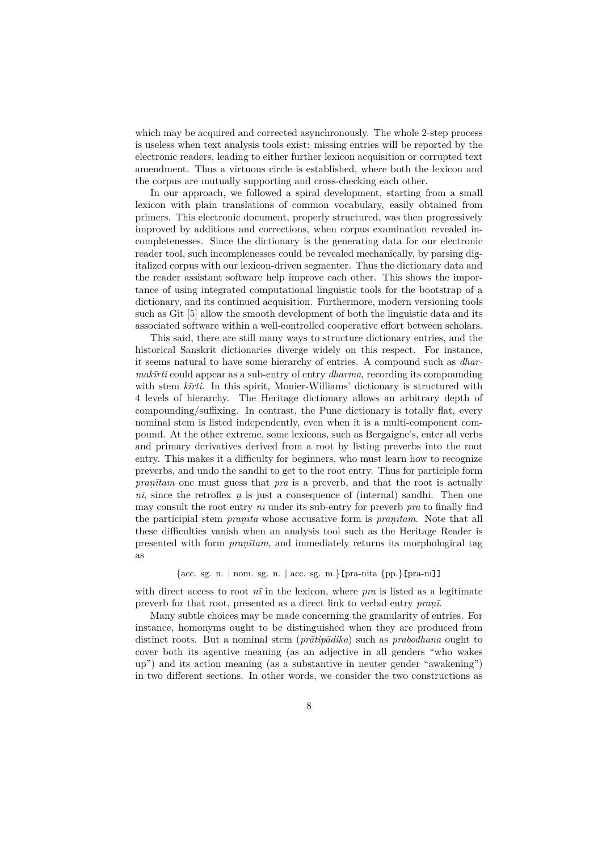which may be acquired and corrected asynchronously. The whole 2-step process is useless when text analysis tools exist: missing entries will be reported by the electronic readers, leading to either further lexicon acquisition or corrupted text amendment. Thus a virtuous circle is established, where both the lexicon and the corpus are mutually supporting and cross-checking each other.

In our approach, we followed a spiral development, starting from a small lexicon with plain translations of common vocabulary, easily obtained from primers. This electronic document, properly structured, was then progressively improved by additions and corrections, when corpus examination revealed incompletenesses. Since the dictionary is the generating data for our electronic reader tool, such incomplenesses could be revealed mechanically, by parsing digitalized corpus with our lexicon-driven segmenter. Thus the dictionary data and the reader assistant software help improve each other. This shows the importance of using integrated computational linguistic tools for the bootstrap of a dictionary, and its continued acquisition. Furthermore, modern versioning tools such as Git [5] allow the smooth development of both the linguistic data and its associated software within a well-controlled cooperative effort between scholars.

This said, there are still many ways to structure dictionary entries, and the historical Sanskrit dictionaries diverge widely on this respect. For instance, it seems natural to have some hierarchy of entries. A compound such as *dharmakīrti* could appear as a sub-entry of entry *dharma*, recording its compounding with stem *kīrti*. In this spirit, Monier-Williams' dictionary is structured with 4 levels of hierarchy. The Heritage dictionary allows an arbitrary depth of compounding/suffixing. In contrast, the Pune dictionary is totally flat, every nominal stem is listed independently, even when it is a multi-component compound. At the other extreme, some lexicons, such as Bergaigne's, enter all verbs and primary derivatives derived from a root by listing preverbs into the root entry. This makes it a difficulty for beginners, who must learn how to recognize preverbs, and undo the sandhi to get to the root entry. Thus for participle form *praṇītam* one must guess that *pra* is a preverb, and that the root is actually *nī*, since the retroflex *ṇ* is just a consequence of (internal) sandhi. Then one may consult the root entry *nī* under its sub-entry for preverb *pra* to finally find the participial stem *praṇīta* whose accusative form is *praṇītam*. Note that all these difficulties vanish when an analysis tool such as the Heritage Reader is presented with form *praṇītam*, and immediately returns its morphological tag as

#### {acc. sg. n. *|* nom. sg. n. *|* acc. sg. m.}[pra-nīta {pp.}[pra-nī]]

with direct access to root  $n\bar{i}$  in the lexicon, where *pra* is listed as a legitimate preverb for that root, presented as a direct link to verbal entry *praṇī*.

Many subtle choices may be made concerning the granularity of entries. For instance, homonyms ought to be distinguished when they are produced from distinct roots. But a nominal stem (*prātipādika*) such as *prabodhana* ought to cover both its agentive meaning (as an adjective in all genders "who wakes up") and its action meaning (as a substantive in neuter gender "awakening") in two different sections. In other words, we consider the two constructions as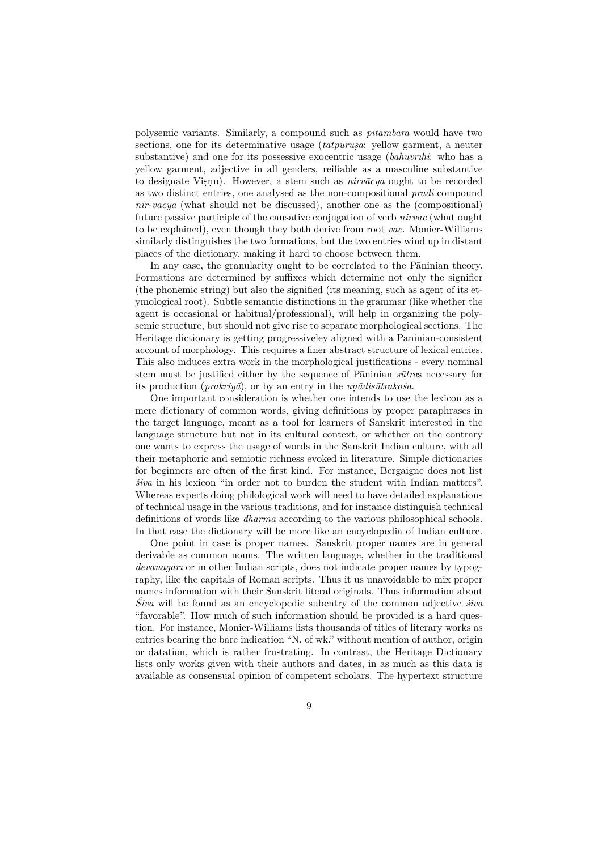polysemic variants. Similarly, a compound such as *pītāmbara* would have two sections, one for its determinative usage (*tatpuruṣa*: yellow garment, a neuter substantive) and one for its possessive exocentric usage (*bahuvrīhi*: who has a yellow garment, adjective in all genders, reifiable as a masculine substantive to designate Viṣṇu). However, a stem such as *nirvācya* ought to be recorded as two distinct entries, one analysed as the non-compositional *prādi* compound *nir-vācya* (what should not be discussed), another one as the (compositional) future passive participle of the causative conjugation of verb *nirvac* (what ought to be explained), even though they both derive from root *vac*. Monier-Williams similarly distinguishes the two formations, but the two entries wind up in distant places of the dictionary, making it hard to choose between them.

In any case, the granularity ought to be correlated to the Pāninian theory. Formations are determined by suffixes which determine not only the signifier (the phonemic string) but also the signified (its meaning, such as agent of its etymological root). Subtle semantic distinctions in the grammar (like whether the agent is occasional or habitual/professional), will help in organizing the polysemic structure, but should not give rise to separate morphological sections. The Heritage dictionary is getting progressiveley aligned with a Pāninian-consistent account of morphology. This requires a finer abstract structure of lexical entries. This also induces extra work in the morphological justifications - every nominal stem must be justified either by the sequence of Pāninian *sūtra*s necessary for its production (*prakriyā*), or by an entry in the *uṇādisūtrakośa*.

One important consideration is whether one intends to use the lexicon as a mere dictionary of common words, giving definitions by proper paraphrases in the target language, meant as a tool for learners of Sanskrit interested in the language structure but not in its cultural context, or whether on the contrary one wants to express the usage of words in the Sanskrit Indian culture, with all their metaphoric and semiotic richness evoked in literature. Simple dictionaries for beginners are often of the first kind. For instance, Bergaigne does not list *śiva* in his lexicon "in order not to burden the student with Indian matters". Whereas experts doing philological work will need to have detailed explanations of technical usage in the various traditions, and for instance distinguish technical definitions of words like *dharma* according to the various philosophical schools. In that case the dictionary will be more like an encyclopedia of Indian culture.

One point in case is proper names. Sanskrit proper names are in general derivable as common nouns. The written language, whether in the traditional *devanāgarī* or in other Indian scripts, does not indicate proper names by typography, like the capitals of Roman scripts. Thus it us unavoidable to mix proper names information with their Sanskrit literal originals. Thus information about *Śiva* will be found as an encyclopedic subentry of the common adjective *śiva* "favorable". How much of such information should be provided is a hard question. For instance, Monier-Williams lists thousands of titles of literary works as entries bearing the bare indication "N. of wk." without mention of author, origin or datation, which is rather frustrating. In contrast, the Heritage Dictionary lists only works given with their authors and dates, in as much as this data is available as consensual opinion of competent scholars. The hypertext structure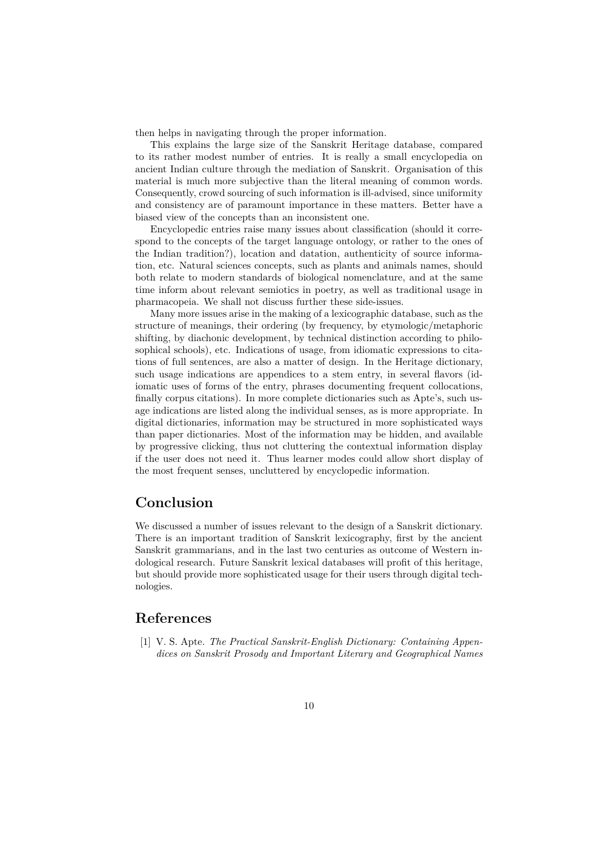then helps in navigating through the proper information.

This explains the large size of the Sanskrit Heritage database, compared to its rather modest number of entries. It is really a small encyclopedia on ancient Indian culture through the mediation of Sanskrit. Organisation of this material is much more subjective than the literal meaning of common words. Consequently, crowd sourcing of such information is ill-advised, since uniformity and consistency are of paramount importance in these matters. Better have a biased view of the concepts than an inconsistent one.

Encyclopedic entries raise many issues about classification (should it correspond to the concepts of the target language ontology, or rather to the ones of the Indian tradition?), location and datation, authenticity of source information, etc. Natural sciences concepts, such as plants and animals names, should both relate to modern standards of biological nomenclature, and at the same time inform about relevant semiotics in poetry, as well as traditional usage in pharmacopeia. We shall not discuss further these side-issues.

Many more issues arise in the making of a lexicographic database, such as the structure of meanings, their ordering (by frequency, by etymologic/metaphoric shifting, by diachonic development, by technical distinction according to philosophical schools), etc. Indications of usage, from idiomatic expressions to citations of full sentences, are also a matter of design. In the Heritage dictionary, such usage indications are appendices to a stem entry, in several flavors (idiomatic uses of forms of the entry, phrases documenting frequent collocations, finally corpus citations). In more complete dictionaries such as Apte's, such usage indications are listed along the individual senses, as is more appropriate. In digital dictionaries, information may be structured in more sophisticated ways than paper dictionaries. Most of the information may be hidden, and available by progressive clicking, thus not cluttering the contextual information display if the user does not need it. Thus learner modes could allow short display of the most frequent senses, uncluttered by encyclopedic information.

### **Conclusion**

We discussed a number of issues relevant to the design of a Sanskrit dictionary. There is an important tradition of Sanskrit lexicography, first by the ancient Sanskrit grammarians, and in the last two centuries as outcome of Western indological research. Future Sanskrit lexical databases will profit of this heritage, but should provide more sophisticated usage for their users through digital technologies.

### **References**

[1] V. S. Apte. *The Practical Sanskrit-English Dictionary: Containing Appendices on Sanskrit Prosody and Important Literary and Geographical Names*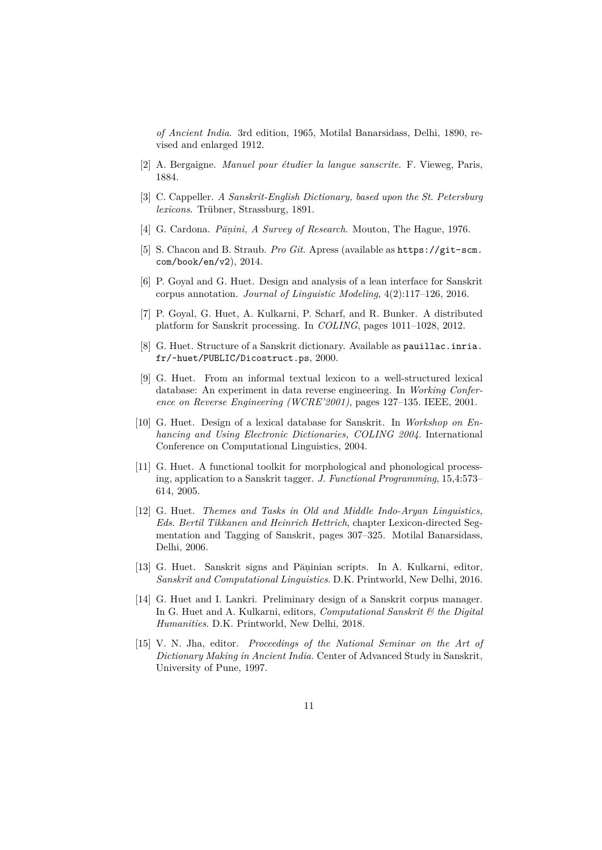*of Ancient India*. 3rd edition, 1965, Motilal Banarsidass, Delhi, 1890, revised and enlarged 1912.

- [2] A. Bergaigne. *Manuel pour étudier la langue sanscrite*. F. Vieweg, Paris, 1884.
- [3] C. Cappeller. *A Sanskrit-English Dictionary, based upon the St. Petersburg lexicons*. Trübner, Strassburg, 1891.
- [4] G. Cardona. *Pāṇini, A Survey of Research*. Mouton, The Hague, 1976.
- [5] S. Chacon and B. Straub. *Pro Git*. Apress (available as https://git-scm. com/book/en/v2), 2014.
- [6] P. Goyal and G. Huet. Design and analysis of a lean interface for Sanskrit corpus annotation. *Journal of Linguistic Modeling*, 4(2):117–126, 2016.
- [7] P. Goyal, G. Huet, A. Kulkarni, P. Scharf, and R. Bunker. A distributed platform for Sanskrit processing. In *COLING*, pages 1011–1028, 2012.
- [8] G. Huet. Structure of a Sanskrit dictionary. Available as pauillac.inria. fr/~huet/PUBLIC/Dicostruct.ps, 2000.
- [9] G. Huet. From an informal textual lexicon to a well-structured lexical database: An experiment in data reverse engineering. In *Working Conference on Reverse Engineering (WCRE'2001)*, pages 127–135. IEEE, 2001.
- [10] G. Huet. Design of a lexical database for Sanskrit. In *Workshop on Enhancing and Using Electronic Dictionaries, COLING 2004*. International Conference on Computational Linguistics, 2004.
- [11] G. Huet. A functional toolkit for morphological and phonological processing, application to a Sanskrit tagger. *J. Functional Programming*, 15,4:573– 614, 2005.
- [12] G. Huet. *Themes and Tasks in Old and Middle Indo-Aryan Linguistics, Eds. Bertil Tikkanen and Heinrich Hettrich*, chapter Lexicon-directed Segmentation and Tagging of Sanskrit, pages 307–325. Motilal Banarsidass, Delhi, 2006.
- [13] G. Huet. Sanskrit signs and Pāṇinian scripts. In A. Kulkarni, editor, *Sanskrit and Computational Linguistics*. D.K. Printworld, New Delhi, 2016.
- [14] G. Huet and I. Lankri. Preliminary design of a Sanskrit corpus manager. In G. Huet and A. Kulkarni, editors, *Computational Sanskrit & the Digital Humanities*. D.K. Printworld, New Delhi, 2018.
- [15] V. N. Jha, editor. *Proceedings of the National Seminar on the Art of Dictionary Making in Ancient India*. Center of Advanced Study in Sanskrit, University of Pune, 1997.